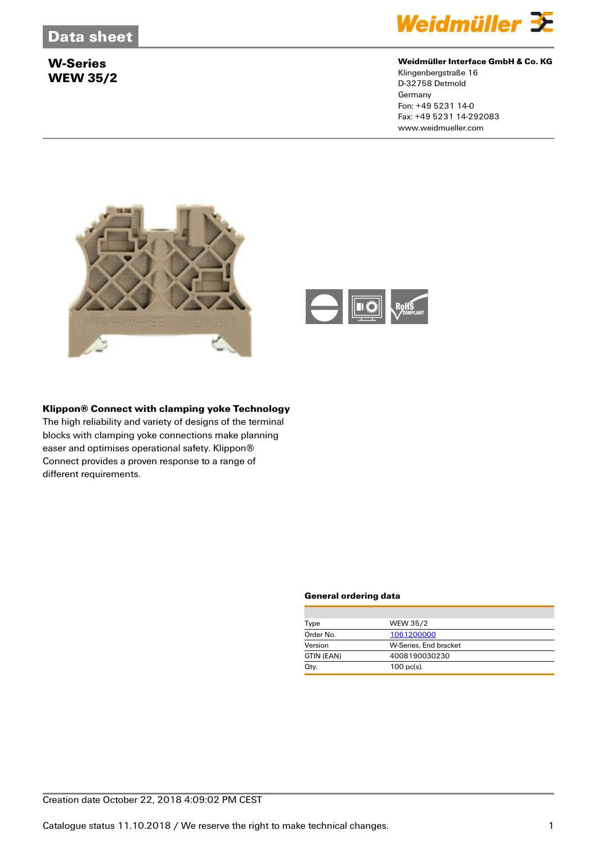

#### **Weidmüller Interface GmbH & Co. KG**

Klingenbergstraße 16 D-32758 Detmold **Germany** Fon: +49 5231 14-0 Fax: +49 5231 14-292083 www.weidmueller.com





#### **Klippon® Connect with clamping yoke Technology**

The high reliability and variety of designs of the terminal blocks with clamping yoke connections make planning easer and optimises operational safety. Klippon® Connect provides a proven response to a range of different requirements.

| Type       | <b>WEW 35/2</b>       |
|------------|-----------------------|
| Order No.  | 1061200000            |
| Version    | W-Series, End bracket |
| GTIN (EAN) | 4008190030230         |
| Qty.       | $100$ pc(s).          |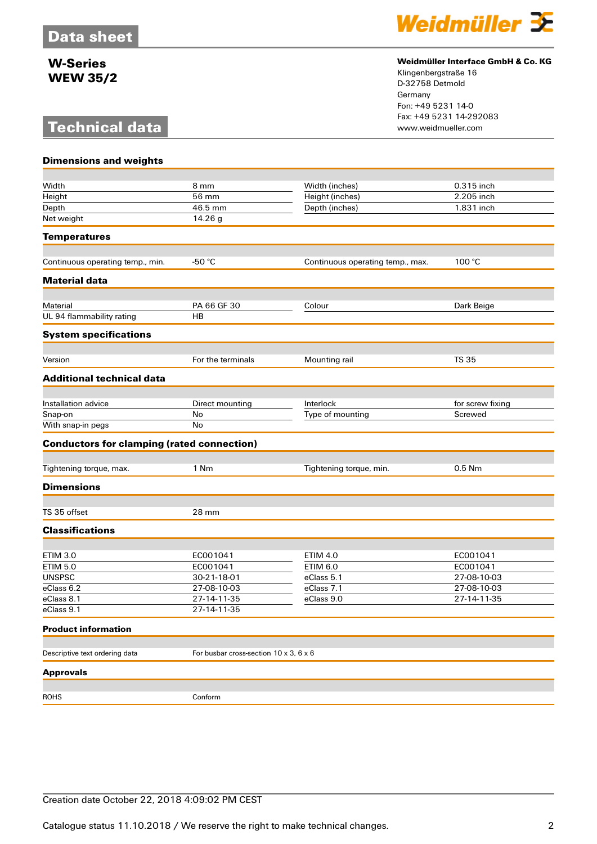# **Technical data**



#### **Weidmüller Interface GmbH & Co. KG**

Klingenbergstraße 16 D-32758 Detmold Germany Fon: +49 5231 14-0 Fax: +49 5231 14-292083

| <b>Dimensions and weights</b>                     |                                        |                                  |                  |
|---------------------------------------------------|----------------------------------------|----------------------------------|------------------|
| Width                                             | 8 mm                                   | Width (inches)                   | 0.315 inch       |
| Height                                            | 56 mm                                  | Height (inches)                  | 2.205 inch       |
| Depth                                             | 46.5 mm                                | Depth (inches)                   | 1.831 inch       |
| Net weight                                        | 14.26 g                                |                                  |                  |
|                                                   |                                        |                                  |                  |
| <b>Temperatures</b>                               |                                        |                                  |                  |
| Continuous operating temp., min.                  | -50 $°C$                               | Continuous operating temp., max. | 100 °C           |
| <b>Material data</b>                              |                                        |                                  |                  |
| Material                                          | PA 66 GF 30                            | Colour                           | Dark Beige       |
| UL 94 flammability rating                         | <b>HB</b>                              |                                  |                  |
| <b>System specifications</b>                      |                                        |                                  |                  |
| Version                                           | For the terminals                      | Mounting rail                    | <b>TS 35</b>     |
| <b>Additional technical data</b>                  |                                        |                                  |                  |
|                                                   |                                        |                                  |                  |
| Installation advice                               | Direct mounting                        | Interlock                        | for screw fixing |
| Snap-on                                           | No                                     | Type of mounting                 | Screwed          |
| With snap-in pegs                                 | No                                     |                                  |                  |
| <b>Conductors for clamping (rated connection)</b> |                                        |                                  |                  |
| Tightening torque, max.                           | 1 Nm                                   | Tightening torque, min.          | 0.5 Nm           |
|                                                   |                                        |                                  |                  |
| <b>Dimensions</b>                                 |                                        |                                  |                  |
| TS 35 offset                                      | 28 mm                                  |                                  |                  |
| <b>Classifications</b>                            |                                        |                                  |                  |
| <b>ETIM 3.0</b>                                   | EC001041                               | <b>ETIM 4.0</b>                  | EC001041         |
| <b>ETIM 5.0</b>                                   | EC001041                               | <b>ETIM 6.0</b>                  | EC001041         |
| <b>UNSPSC</b>                                     | 30-21-18-01                            | eClass 5.1                       | 27-08-10-03      |
| eClass 6.2                                        | 27-08-10-03                            | eClass 7.1                       | 27-08-10-03      |
| eClass 8.1                                        | 27-14-11-35                            | eClass 9.0                       | 27-14-11-35      |
| eClass 9.1                                        | 27-14-11-35                            |                                  |                  |
| <b>Product information</b>                        |                                        |                                  |                  |
| Descriptive text ordering data                    | For busbar cross-section 10 x 3, 6 x 6 |                                  |                  |
| <b>Approvals</b>                                  |                                        |                                  |                  |
|                                                   |                                        |                                  |                  |
|                                                   |                                        |                                  |                  |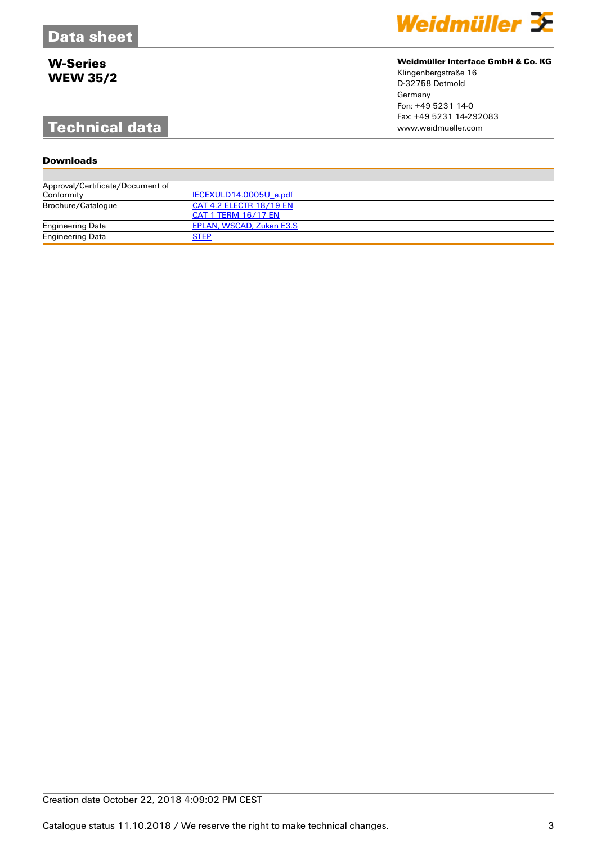# **Technical data**

#### **Downloads**

| Approval/Certificate/Document of |                          |
|----------------------------------|--------------------------|
| Conformity                       | IECEXULD14.0005U e.pdf   |
| Brochure/Catalogue               | CAT 4.2 ELECTR 18/19 EN  |
|                                  | CAT 1 TERM 16/17 EN      |
| <b>Engineering Data</b>          | EPLAN, WSCAD, Zuken E3.S |
| Engineering Data                 | <b>STEP</b>              |

Weidmüller 3E

#### **Weidmüller Interface GmbH & Co. KG**

Klingenbergstraße 16 D-32758 Detmold Germany Fon: +49 5231 14-0 Fax: +49 5231 14-292083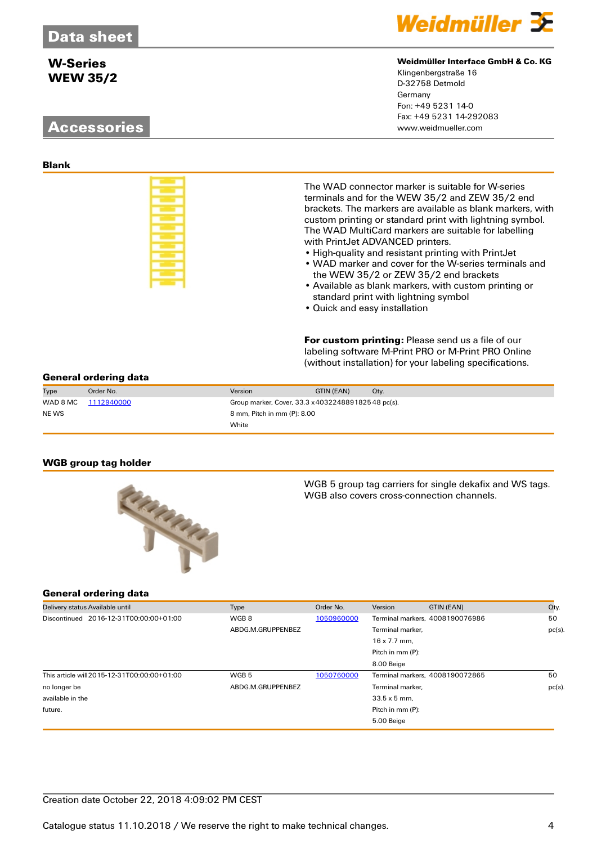# **Accessories**



#### **Weidmüller Interface GmbH & Co. KG**

Klingenbergstraße 16 D-32758 Detmold Germany Fon: +49 5231 14-0 Fax: +49 5231 14-292083

**Blank**

| ـــ |                |                        |    |
|-----|----------------|------------------------|----|
| ـــ | _              |                        |    |
| ۔   | _<br>۳         | ـ<br><b>STATISTICS</b> | ــ |
|     | __<br>__       |                        |    |
|     | --<br>- -<br>_ |                        |    |
|     |                |                        |    |
|     |                |                        |    |
|     |                |                        |    |
|     |                |                        |    |
| ـــ |                | ___                    |    |

The WAD connector marker is suitable for W-series terminals and for the WEW 35/2 and ZEW 35/2 end brackets. The markers are available as blank markers, with custom printing or standard print with lightning symbol. The WAD MultiCard markers are suitable for labelling with PrintJet ADVANCED printers.

- High-quality and resistant printing with PrintJet
- WAD marker and cover for the W-series terminals and the WEW 35/2 or ZEW 35/2 end brackets
- Available as blank markers, with custom printing or standard print with lightning symbol
- Quick and easy installation

**For custom printing:** Please send us a file of our labeling software M-Print PRO or M-Print PRO Online (without installation) for your labeling specifications.

#### **General ordering data**

| Type     | Order No.  | Version                                            | GTIN (EAN) | Qty. |
|----------|------------|----------------------------------------------------|------------|------|
| WAD 8 MC | 1112940000 | Group marker, Cover, 33.3 x 403224889182548 pc(s). |            |      |
| NE WS    |            | 8 mm, Pitch in mm (P): 8.00                        |            |      |
|          |            | White                                              |            |      |

#### **WGB group tag holder**



WGB 5 group tag carriers for single dekafix and WS tags. WGB also covers cross-connection channels.

| Delivery status Available until             | Type              | Order No.  | Version<br>GTIN (EAN)           | Qty.      |
|---------------------------------------------|-------------------|------------|---------------------------------|-----------|
| Discontinued 2016-12-31T00:00:00+01:00      | WGB8              | 1050960000 | Terminal markers, 4008190076986 | 50        |
|                                             | ABDG.M.GRUPPENBEZ |            | Terminal marker,                | $pc(s)$ . |
|                                             |                   |            | $16 \times 7.7$ mm.             |           |
|                                             |                   |            | Pitch in mm (P):                |           |
|                                             |                   |            | 8.00 Beige                      |           |
| This article will 2015-12-31T00:00:00+01:00 | WGB <sub>5</sub>  | 1050760000 | Terminal markers, 4008190072865 | 50        |
| no longer be                                | ABDG.M.GRUPPENBEZ |            | Terminal marker.                | $pc(s)$ . |
| available in the                            |                   |            | $33.5 \times 5$ mm.             |           |
| future.                                     |                   |            | Pitch in mm (P):                |           |
|                                             |                   |            | 5.00 Beige                      |           |
|                                             |                   |            |                                 |           |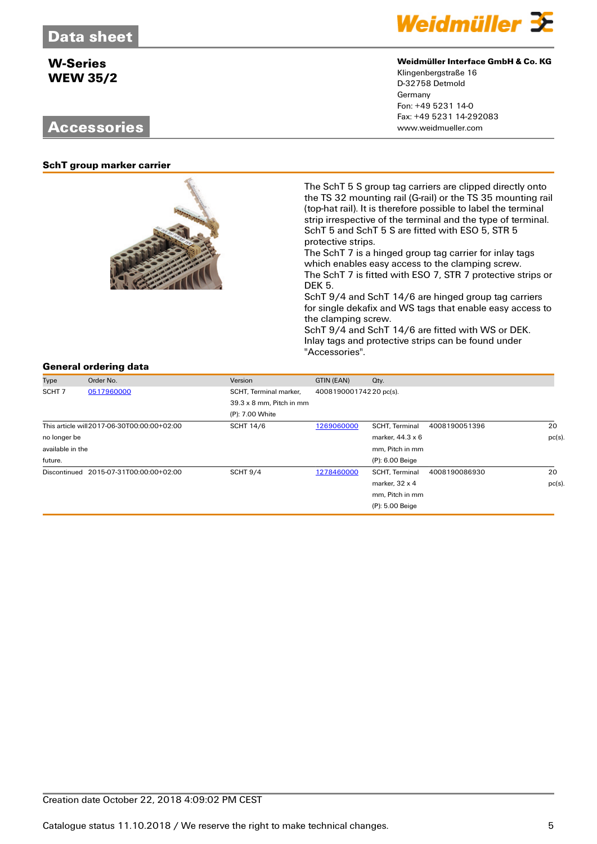## **Accessories**



#### **Weidmüller Interface GmbH & Co. KG**

Klingenbergstraße 16 D-32758 Detmold Germany Fon: +49 5231 14-0 Fax: +49 5231 14-292083

#### **SchT group marker carrier**



The SchT 5 S group tag carriers are clipped directly onto the TS 32 mounting rail (G-rail) or the TS 35 mounting rail (top-hat rail). It is therefore possible to label the terminal strip irrespective of the terminal and the type of terminal. SchT 5 and SchT 5 S are fitted with ESO 5, STR 5 protective strips.

The SchT 7 is a hinged group tag carrier for inlay tags which enables easy access to the clamping screw. The SchT 7 is fitted with ESO 7, STR 7 protective strips or DEK 5.

SchT 9/4 and SchT 14/6 are hinged group tag carriers for single dekafix and WS tags that enable easy access to the clamping screw.

SchT 9/4 and SchT 14/6 are fitted with WS or DEK. Inlay tags and protective strips can be found under "Accessories".

| Type                            | Order No.                                   | Version                         | GTIN (EAN)             | Qty.                                   |       |
|---------------------------------|---------------------------------------------|---------------------------------|------------------------|----------------------------------------|-------|
| SCHT <sub>7</sub><br>0517960000 |                                             | SCHT, Terminal marker,          | 400819000174220 pc(s). |                                        |       |
|                                 |                                             | $39.3 \times 8$ mm. Pitch in mm |                        |                                        |       |
|                                 |                                             | (P): 7.00 White                 |                        |                                        |       |
|                                 | This article will 2017-06-30T00:00:00+02:00 | <b>SCHT 14/6</b>                | 1269060000             | <b>SCHT, Terminal</b><br>4008190051396 | 20    |
| no longer be                    |                                             |                                 |                        | marker, 44.3 x 6                       | pc(s) |
| available in the                |                                             |                                 |                        | mm, Pitch in mm                        |       |
| future.                         |                                             |                                 |                        | (P): 6.00 Beige                        |       |
|                                 | Discontinued 2015-07-31T00:00:00+02:00      | <b>SCHT 9/4</b>                 | 1278460000             | <b>SCHT, Terminal</b><br>4008190086930 | 20    |
|                                 |                                             |                                 |                        | marker, $32 \times 4$                  | pc(s) |
|                                 |                                             |                                 |                        | mm, Pitch in mm                        |       |
|                                 |                                             |                                 |                        | $(P)$ : 5.00 Beige                     |       |
|                                 |                                             |                                 |                        |                                        |       |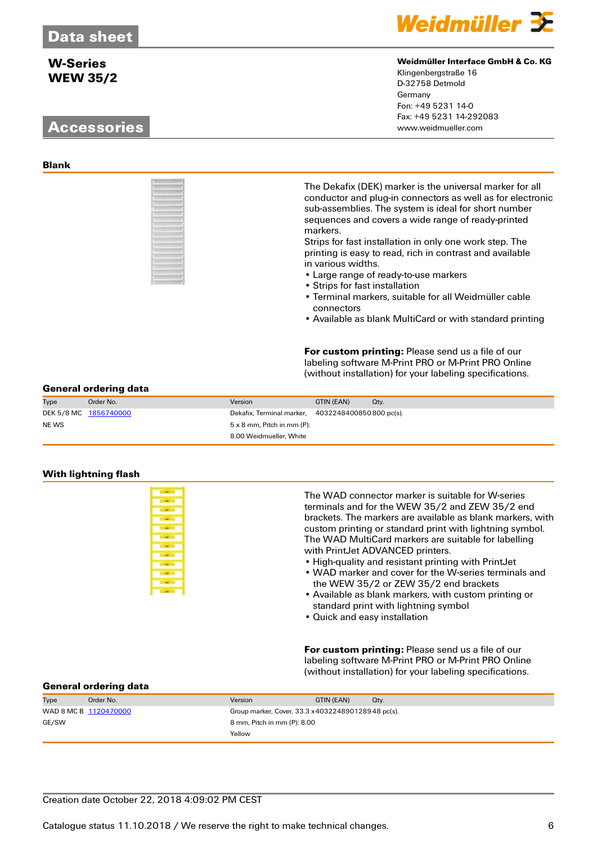# **Accessories** www.weidmueller.com



| ۱           |  |  |  | ł      |
|-------------|--|--|--|--------|
| l<br>١      |  |  |  |        |
| i           |  |  |  |        |
| ٠           |  |  |  |        |
| l<br>٠      |  |  |  | I      |
|             |  |  |  | ı      |
| I<br>٦      |  |  |  |        |
|             |  |  |  | ĭ      |
| ۱           |  |  |  | ı      |
| ı           |  |  |  | ı      |
| ۱           |  |  |  | ı      |
| ı<br>۱<br>ı |  |  |  | ý      |
| ı           |  |  |  |        |
| I<br>٠      |  |  |  |        |
|             |  |  |  | ٠<br>٠ |
| i           |  |  |  |        |
| ı           |  |  |  | í      |
| ł<br>ı      |  |  |  |        |
|             |  |  |  |        |



#### **Weidmüller Interface GmbH & Co. KG**

Klingenbergstraße 16 D-32758 Detmold Germany Fon: +49 5231 14-0 Fax: +49 5231 14-292083

The Dekafix (DEK) marker is the universal marker for all conductor and plug-in connectors as well as for electronic sub-assemblies. The system is ideal for short number sequences and covers a wide range of ready-printed markers.

Strips for fast installation in only one work step. The printing is easy to read, rich in contrast and available in various widths.

- Large range of ready-to-use markers
- Strips for fast installation
- Terminal markers, suitable for all Weidmüller cable connectors
- Available as blank MultiCard or with standard printing

**For custom printing:** Please send us a file of our labeling software M-Print PRO or M-Print PRO Online (without installation) for your labeling specifications.

#### **General ordering data**

| Type  | Order No.             | Version                                           | GTIN (EAN) | Qtv. |
|-------|-----------------------|---------------------------------------------------|------------|------|
|       | DEK 5/8 MC 1856740000 | Dekafix, Terminal marker, 4032248400850800 pc(s). |            |      |
| NE WS |                       | $5 \times 8$ mm, Pitch in mm (P):                 |            |      |
|       |                       | 8.00 Weidmueller, White                           |            |      |

#### **With lightning flash**



The WAD connector marker is suitable for W-series terminals and for the WEW 35/2 and ZEW 35/2 end brackets. The markers are available as blank markers, with custom printing or standard print with lightning symbol. The WAD MultiCard markers are suitable for labelling with PrintJet ADVANCED printers.

- High-quality and resistant printing with PrintJet
- WAD marker and cover for the W-series terminals and the WEW 35/2 or ZEW 35/2 end brackets
- Available as blank markers, with custom printing or standard print with lightning symbol
- Quick and easy installation

**For custom printing:** Please send us a file of our labeling software M-Print PRO or M-Print PRO Online (without installation) for your labeling specifications.

| Type  | Order No.             | Version                                            | GTIN (EAN) | Qtv. |
|-------|-----------------------|----------------------------------------------------|------------|------|
|       | WAD 8 MC B 1120470000 | Group marker, Cover, 33.3 x 403224890128948 pc(s). |            |      |
| GE/SW |                       | 8 mm, Pitch in mm (P): 8.00                        |            |      |
|       |                       | Yellow                                             |            |      |